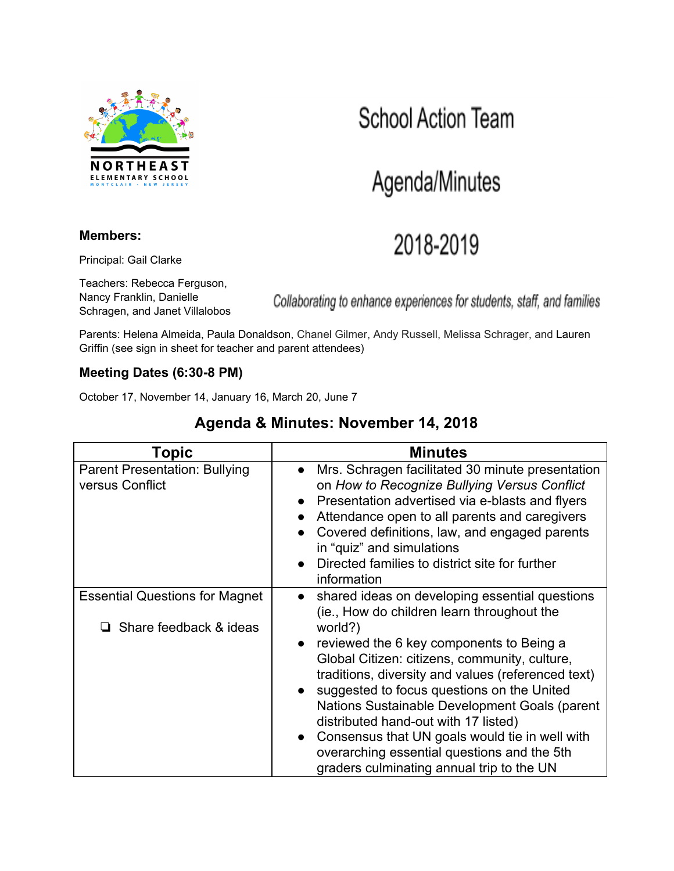

### **Members:**

Principal: Gail Clarke

Teachers: Rebecca Ferguson, Nancy Franklin, Danielle Schragen, and Janet Villalobos

Collaborating to enhance experiences for students, staff, and families

Parents: Helena Almeida, Paula Donaldson, Chanel Gilmer, Andy Russell, Melissa Schrager, and Lauren Griffin (see sign in sheet for teacher and parent attendees)

## **Meeting Dates (6:30-8 PM)**

October 17, November 14, January 16, March 20, June 7

## **Agenda & Minutes: November 14, 2018**

| <b>Topic</b>                                                           | <b>Minutes</b>                                                                                                                                                                                                                                                                                                                                                                                                                                                                                                                                                            |
|------------------------------------------------------------------------|---------------------------------------------------------------------------------------------------------------------------------------------------------------------------------------------------------------------------------------------------------------------------------------------------------------------------------------------------------------------------------------------------------------------------------------------------------------------------------------------------------------------------------------------------------------------------|
| <b>Parent Presentation: Bullying</b><br>versus Conflict                | Mrs. Schragen facilitated 30 minute presentation<br>$\bullet$<br>on How to Recognize Bullying Versus Conflict<br>Presentation advertised via e-blasts and flyers<br>Attendance open to all parents and caregivers<br>Covered definitions, law, and engaged parents<br>in "quiz" and simulations<br>Directed families to district site for further<br>information                                                                                                                                                                                                          |
| <b>Essential Questions for Magnet</b><br>$\Box$ Share feedback & ideas | shared ideas on developing essential questions<br>$\bullet$<br>(ie., How do children learn throughout the<br>world?)<br>reviewed the 6 key components to Being a<br>Global Citizen: citizens, community, culture,<br>traditions, diversity and values (referenced text)<br>suggested to focus questions on the United<br>Nations Sustainable Development Goals (parent<br>distributed hand-out with 17 listed)<br>Consensus that UN goals would tie in well with<br>$\bullet$<br>overarching essential questions and the 5th<br>graders culminating annual trip to the UN |

## **School Action Team**

Agenda/Minutes

# 2018-2019